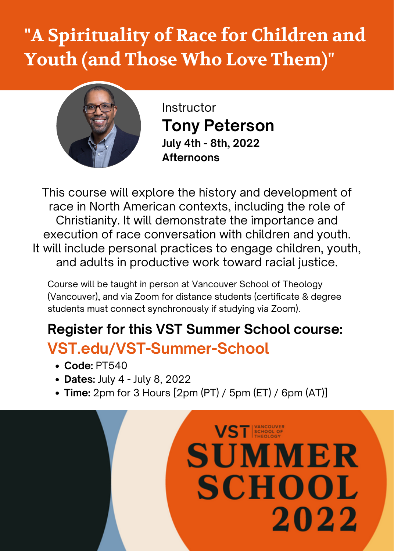## **"A Spirituality of Race for Children and Youth (and Those Who Love Them)"**



Instructor **Tony Peterson July 4th - 8th, 2022 Afternoons**

This course will explore the history and development of race in North American contexts, including the role of Christianity. It will demonstrate the importance and execution of race conversation with children and youth. It will include personal practices to engage children, youth, and adults in productive work toward racial justice.

Course will be taught in person at Vancouver School of Theology (Vancouver), and via Zoom for distance students (certificate & degree students must connect synchronously if studying via Zoom).

## **Register for this VST Summer School course: VST.edu/VST-Summer-School**

- **Code:** PT540
- **Dates:** July 4 July 8, 2022
- **Time:** 2pm for 3 Hours [2pm (PT) / 5pm (ET) / 6pm (AT)]